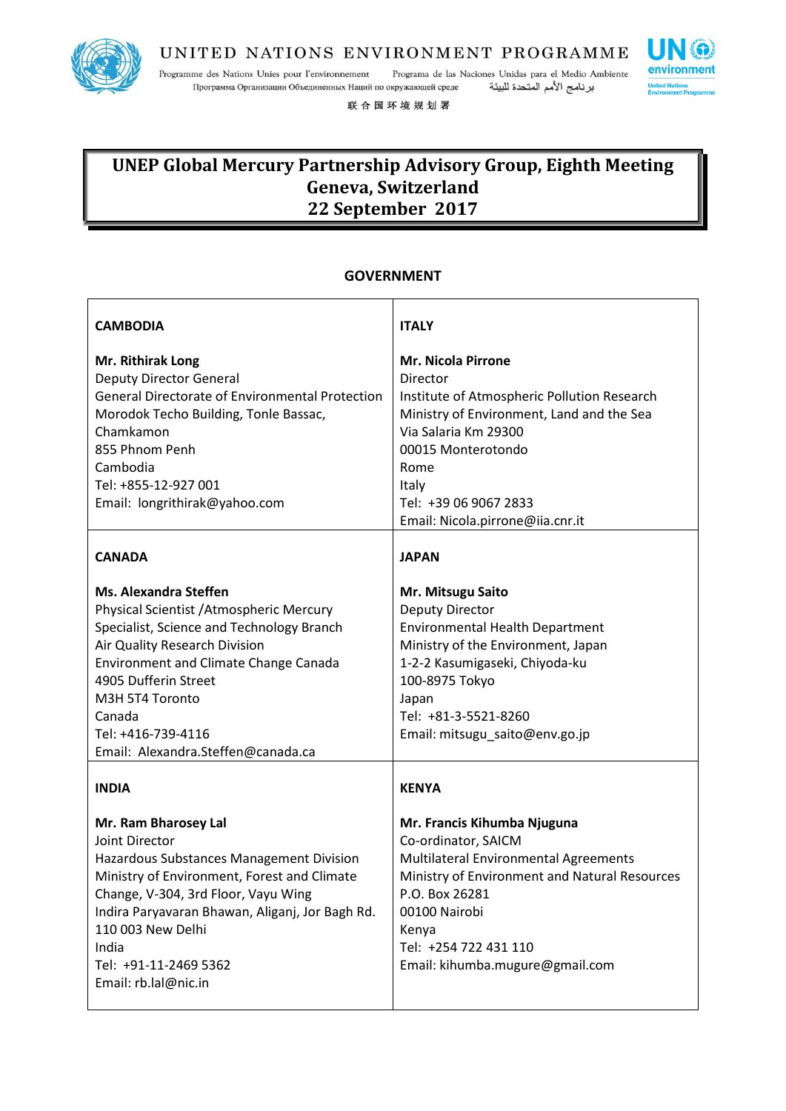

Programme des Nations Unies pour l'environnement Programa de las Naciones Unidas para el Medio Ambiente Программа Организации Объединенных Наций по окружающей среде برنامج الأمم المتحدة للبيئة

联合国环境规划署

# **UNEP Global Mercury Partnership Advisory Group, Eighth Meeting Geneva, Switzerland 22 September 2017**

#### **GOVERNMENT**

| <b>CAMBODIA</b>                                                                                                                                                                                                                                                                                                         | <b>ITALY</b>                                                                                                                                                                                                                                                  |
|-------------------------------------------------------------------------------------------------------------------------------------------------------------------------------------------------------------------------------------------------------------------------------------------------------------------------|---------------------------------------------------------------------------------------------------------------------------------------------------------------------------------------------------------------------------------------------------------------|
| Mr. Rithirak Long<br><b>Deputy Director General</b><br><b>General Directorate of Environmental Protection</b><br>Morodok Techo Building, Tonle Bassac,<br>Chamkamon<br>855 Phnom Penh<br>Cambodia<br>Tel: +855-12-927 001<br>Email: longrithirak@yahoo.com                                                              | <b>Mr. Nicola Pirrone</b><br>Director<br>Institute of Atmospheric Pollution Research<br>Ministry of Environment, Land and the Sea<br>Via Salaria Km 29300<br>00015 Monterotondo<br>Rome<br>Italy<br>Tel: +39 06 9067 2833<br>Email: Nicola.pirrone@iia.cnr.it |
| <b>CANADA</b>                                                                                                                                                                                                                                                                                                           | <b>JAPAN</b>                                                                                                                                                                                                                                                  |
| <b>Ms. Alexandra Steffen</b><br>Physical Scientist / Atmospheric Mercury<br>Specialist, Science and Technology Branch<br>Air Quality Research Division<br><b>Environment and Climate Change Canada</b><br>4905 Dufferin Street<br>M3H 5T4 Toronto<br>Canada<br>Tel: +416-739-4116<br>Email: Alexandra.Steffen@canada.ca | Mr. Mitsugu Saito<br><b>Deputy Director</b><br><b>Environmental Health Department</b><br>Ministry of the Environment, Japan<br>1-2-2 Kasumigaseki, Chiyoda-ku<br>100-8975 Tokyo<br>Japan<br>Tel: +81-3-5521-8260<br>Email: mitsugu_saito@env.go.jp            |
| <b>INDIA</b>                                                                                                                                                                                                                                                                                                            | <b>KENYA</b>                                                                                                                                                                                                                                                  |
| Mr. Ram Bharosey Lal<br>Joint Director<br>Hazardous Substances Management Division<br>Ministry of Environment, Forest and Climate<br>Change, V-304, 3rd Floor, Vayu Wing<br>Indira Paryavaran Bhawan, Aliganj, Jor Bagh Rd.<br>110 003 New Delhi<br>India<br>Tel: +91-11-2469 5362<br>Email: rb.lal@nic.in              | Mr. Francis Kihumba Njuguna<br>Co-ordinator, SAICM<br>Multilateral Environmental Agreements<br>Ministry of Environment and Natural Resources<br>P.O. Box 26281<br>00100 Nairobi<br>Kenya<br>Tel: +254 722 431 110<br>Email: kihumba.mugure@gmail.com          |

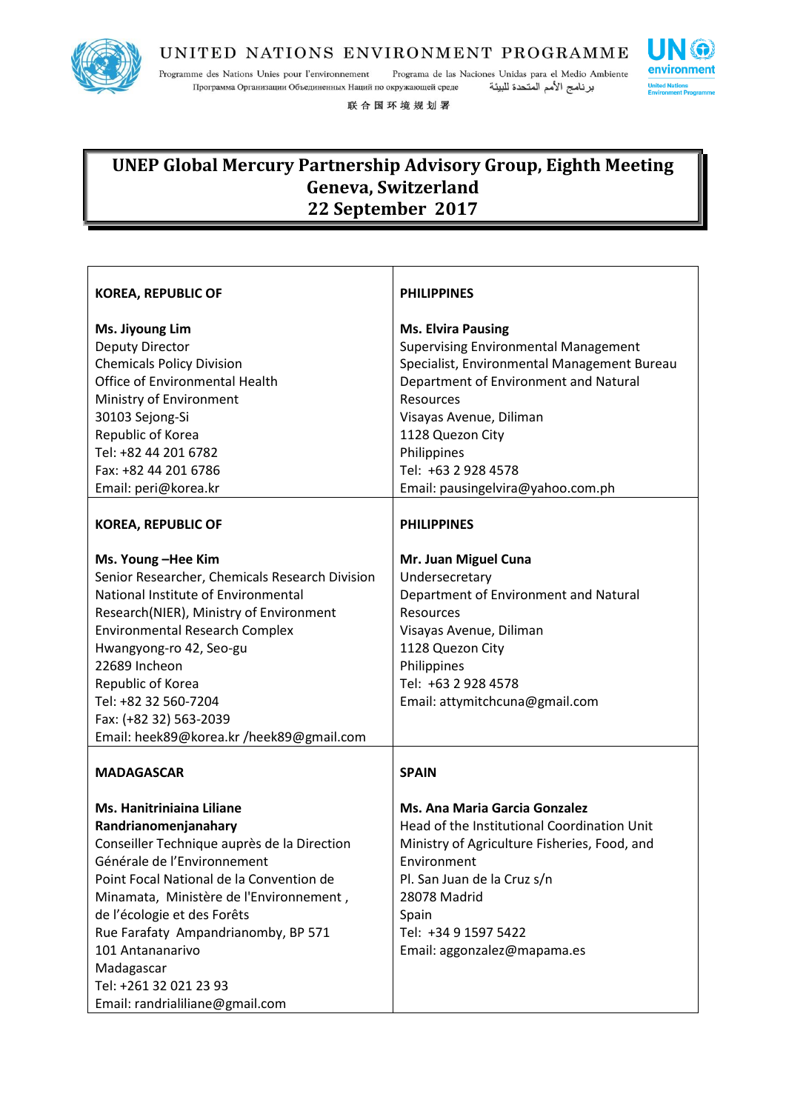

Programme des Nations Unies pour l'environnement Programa de las Naciones Unidas para el Medio Ambiente Программа Организации Объединенных Наций по окружающей среде برنامج الأمم المتحدة للبيئة

联合国环境规划署

# **UNEP Global Mercury Partnership Advisory Group, Eighth Meeting Geneva, Switzerland 22 September 2017**

| <b>KOREA, REPUBLIC OF</b>                      | <b>PHILIPPINES</b>                           |
|------------------------------------------------|----------------------------------------------|
| Ms. Jiyoung Lim                                | <b>Ms. Elvira Pausing</b>                    |
| <b>Deputy Director</b>                         | <b>Supervising Environmental Management</b>  |
| <b>Chemicals Policy Division</b>               | Specialist, Environmental Management Bureau  |
| Office of Environmental Health                 | Department of Environment and Natural        |
| Ministry of Environment                        | Resources                                    |
| 30103 Sejong-Si                                | Visayas Avenue, Diliman                      |
| Republic of Korea                              | 1128 Quezon City                             |
| Tel: +82 44 201 6782                           | Philippines                                  |
| Fax: +82 44 201 6786                           | Tel: +63 2 928 4578                          |
| Email: peri@korea.kr                           | Email: pausingelvira@yahoo.com.ph            |
| <b>KOREA, REPUBLIC OF</b>                      | <b>PHILIPPINES</b>                           |
| Ms. Young-Hee Kim                              | Mr. Juan Miguel Cuna                         |
| Senior Researcher, Chemicals Research Division | Undersecretary                               |
| National Institute of Environmental            | Department of Environment and Natural        |
| Research(NIER), Ministry of Environment        | Resources                                    |
| <b>Environmental Research Complex</b>          | Visayas Avenue, Diliman                      |
| Hwangyong-ro 42, Seo-gu                        | 1128 Quezon City                             |
| 22689 Incheon                                  | Philippines                                  |
| Republic of Korea                              | Tel: +63 2 928 4578                          |
| Tel: +82 32 560-7204                           | Email: attymitchcuna@gmail.com               |
| Fax: (+82 32) 563-2039                         |                                              |
| Email: heek89@korea.kr /heek89@gmail.com       |                                              |
| <b>MADAGASCAR</b>                              | <b>SPAIN</b>                                 |
| <b>Ms. Hanitriniaina Liliane</b>               | Ms. Ana Maria Garcia Gonzalez                |
| Randrianomenjanahary                           | Head of the Institutional Coordination Unit  |
| Conseiller Technique auprès de la Direction    | Ministry of Agriculture Fisheries, Food, and |
| Générale de l'Environnement                    | Environment                                  |
| Point Focal National de la Convention de       | Pl. San Juan de la Cruz s/n                  |
| Minamata, Ministère de l'Environnement,        | 28078 Madrid                                 |
| de l'écologie et des Forêts                    | Spain                                        |
| Rue Farafaty Ampandrianomby, BP 571            | Tel: +34 9 1597 5422                         |
| 101 Antananarivo                               | Email: aggonzalez@mapama.es                  |
| Madagascar                                     |                                              |
| Tel: +261 32 021 23 93                         |                                              |
| Email: randrialiliane@gmail.com                |                                              |

**SG** environment **United Nat**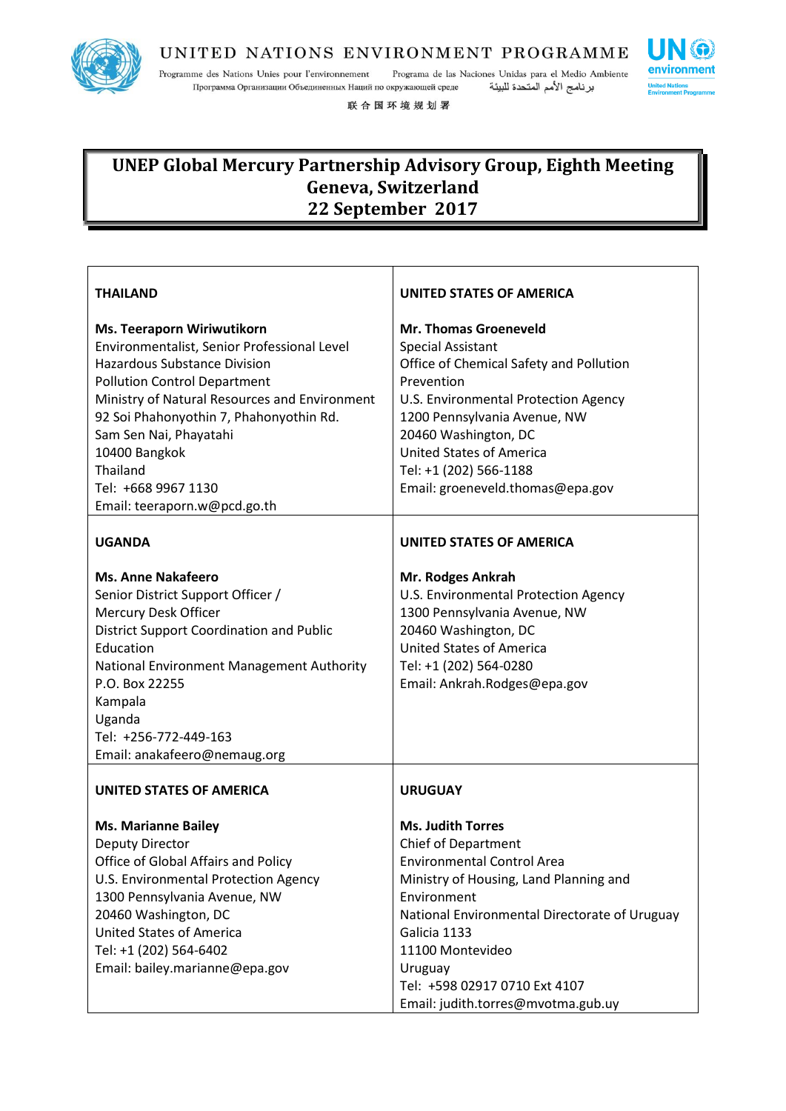

Programme des Nations Unies pour l'environnement Programa de las Naciones Unidas para el Medio Ambiente Программа Организации Объединенных Наций по окружающей среде برنامج الأمم المتحدة للبيئة

联合国环境规划署

| <b>THAILAND</b>                               | UNITED STATES OF AMERICA                      |
|-----------------------------------------------|-----------------------------------------------|
| Ms. Teeraporn Wiriwutikorn                    | <b>Mr. Thomas Groeneveld</b>                  |
| Environmentalist, Senior Professional Level   | <b>Special Assistant</b>                      |
| <b>Hazardous Substance Division</b>           | Office of Chemical Safety and Pollution       |
| <b>Pollution Control Department</b>           | Prevention                                    |
| Ministry of Natural Resources and Environment | U.S. Environmental Protection Agency          |
| 92 Soi Phahonyothin 7, Phahonyothin Rd.       | 1200 Pennsylvania Avenue, NW                  |
| Sam Sen Nai, Phayatahi                        | 20460 Washington, DC                          |
| 10400 Bangkok                                 | <b>United States of America</b>               |
| Thailand                                      | Tel: +1 (202) 566-1188                        |
| Tel: +668 9967 1130                           | Email: groeneveld.thomas@epa.gov              |
| Email: teeraporn.w@pcd.go.th                  |                                               |
| <b>UGANDA</b>                                 | <b>UNITED STATES OF AMERICA</b>               |
| <b>Ms. Anne Nakafeero</b>                     | Mr. Rodges Ankrah                             |
| Senior District Support Officer /             | U.S. Environmental Protection Agency          |
| Mercury Desk Officer                          | 1300 Pennsylvania Avenue, NW                  |
| District Support Coordination and Public      | 20460 Washington, DC                          |
| Education                                     | <b>United States of America</b>               |
| National Environment Management Authority     | Tel: +1 (202) 564-0280                        |
| P.O. Box 22255                                | Email: Ankrah.Rodges@epa.gov                  |
| Kampala                                       |                                               |
| Uganda                                        |                                               |
| Tel: +256-772-449-163                         |                                               |
| Email: anakafeero@nemaug.org                  |                                               |
| <b>UNITED STATES OF AMERICA</b>               | <b>URUGUAY</b>                                |
| <b>Ms. Marianne Bailey</b>                    | <b>Ms. Judith Torres</b>                      |
| <b>Deputy Director</b>                        | <b>Chief of Department</b>                    |
| Office of Global Affairs and Policy           | <b>Environmental Control Area</b>             |
| U.S. Environmental Protection Agency          | Ministry of Housing, Land Planning and        |
| 1300 Pennsylvania Avenue, NW                  | Environment                                   |
| 20460 Washington, DC                          | National Environmental Directorate of Uruguay |
| <b>United States of America</b>               | Galicia 1133                                  |
| Tel: +1 (202) 564-6402                        | 11100 Montevideo                              |
| Email: bailey.marianne@epa.gov                | Uruguay                                       |
|                                               | Tel: +598 02917 0710 Ext 4107                 |
|                                               | Email: judith.torres@mvotma.gub.uy            |

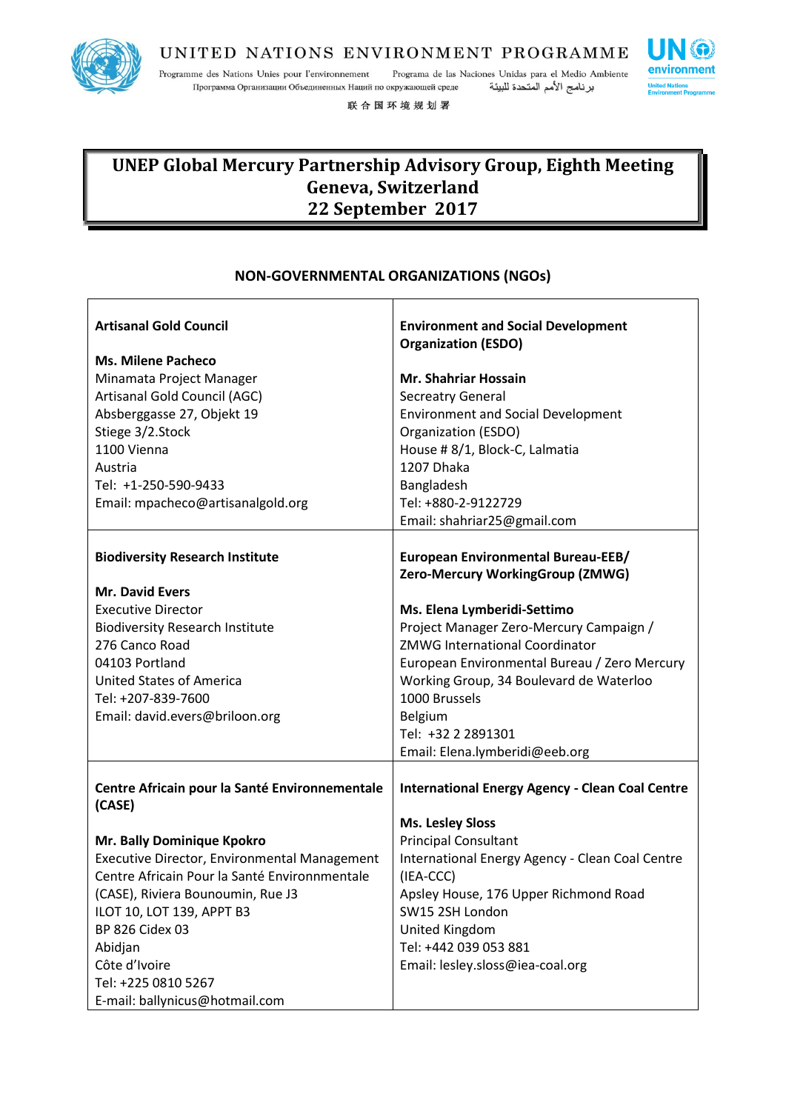

Programme des Nations Unies pour l'environnement Programa de las Naciones Unidas para el Medio Ambiente Программа Организации Объединенных Наций по окружающей среде برنامج الأمم المتحدة للبيئة

联合国环境规划署



┑

### **UNEP Global Mercury Partnership Advisory Group, Eighth Meeting Geneva, Switzerland 22 September 2017**

### **NON-GOVERNMENTAL ORGANIZATIONS (NGOs)**

| <b>Artisanal Gold Council</b><br><b>Ms. Milene Pacheco</b><br>Minamata Project Manager<br>Artisanal Gold Council (AGC)<br>Absberggasse 27, Objekt 19<br>Stiege 3/2.Stock<br>1100 Vienna<br>Austria<br>Tel: +1-250-590-9433                                                                            | <b>Environment and Social Development</b><br><b>Organization (ESDO)</b><br><b>Mr. Shahriar Hossain</b><br><b>Secreatry General</b><br><b>Environment and Social Development</b><br>Organization (ESDO)<br>House # 8/1, Block-C, Lalmatia<br>1207 Dhaka<br>Bangladesh                           |
|-------------------------------------------------------------------------------------------------------------------------------------------------------------------------------------------------------------------------------------------------------------------------------------------------------|------------------------------------------------------------------------------------------------------------------------------------------------------------------------------------------------------------------------------------------------------------------------------------------------|
| Email: mpacheco@artisanalgold.org                                                                                                                                                                                                                                                                     | Tel: +880-2-9122729<br>Email: shahriar25@gmail.com                                                                                                                                                                                                                                             |
| <b>Biodiversity Research Institute</b>                                                                                                                                                                                                                                                                | European Environmental Bureau-EEB/<br>Zero-Mercury WorkingGroup (ZMWG)                                                                                                                                                                                                                         |
| <b>Mr. David Evers</b><br><b>Executive Director</b><br><b>Biodiversity Research Institute</b><br>276 Canco Road<br>04103 Portland<br><b>United States of America</b><br>Tel: +207-839-7600<br>Email: david.evers@briloon.org                                                                          | Ms. Elena Lymberidi-Settimo<br>Project Manager Zero-Mercury Campaign /<br><b>ZMWG International Coordinator</b><br>European Environmental Bureau / Zero Mercury<br>Working Group, 34 Boulevard de Waterloo<br>1000 Brussels<br>Belgium<br>Tel: +32 2 2891301<br>Email: Elena.lymberidi@eeb.org |
| Centre Africain pour la Santé Environnementale<br>(CASE)                                                                                                                                                                                                                                              | <b>International Energy Agency - Clean Coal Centre</b>                                                                                                                                                                                                                                         |
| Mr. Bally Dominique Kpokro<br>Executive Director, Environmental Management<br>Centre Africain Pour la Santé Environnmentale<br>(CASE), Riviera Bounoumin, Rue J3<br>ILOT 10, LOT 139, APPT B3<br>BP 826 Cidex 03<br>Abidjan<br>Côte d'Ivoire<br>Tel: +225 0810 5267<br>E-mail: ballynicus@hotmail.com | <b>Ms. Lesley Sloss</b><br><b>Principal Consultant</b><br>International Energy Agency - Clean Coal Centre<br>(IEA-CCC)<br>Apsley House, 176 Upper Richmond Road<br>SW15 2SH London<br>United Kingdom<br>Tel: +442 039 053 881<br>Email: lesley.sloss@iea-coal.org                              |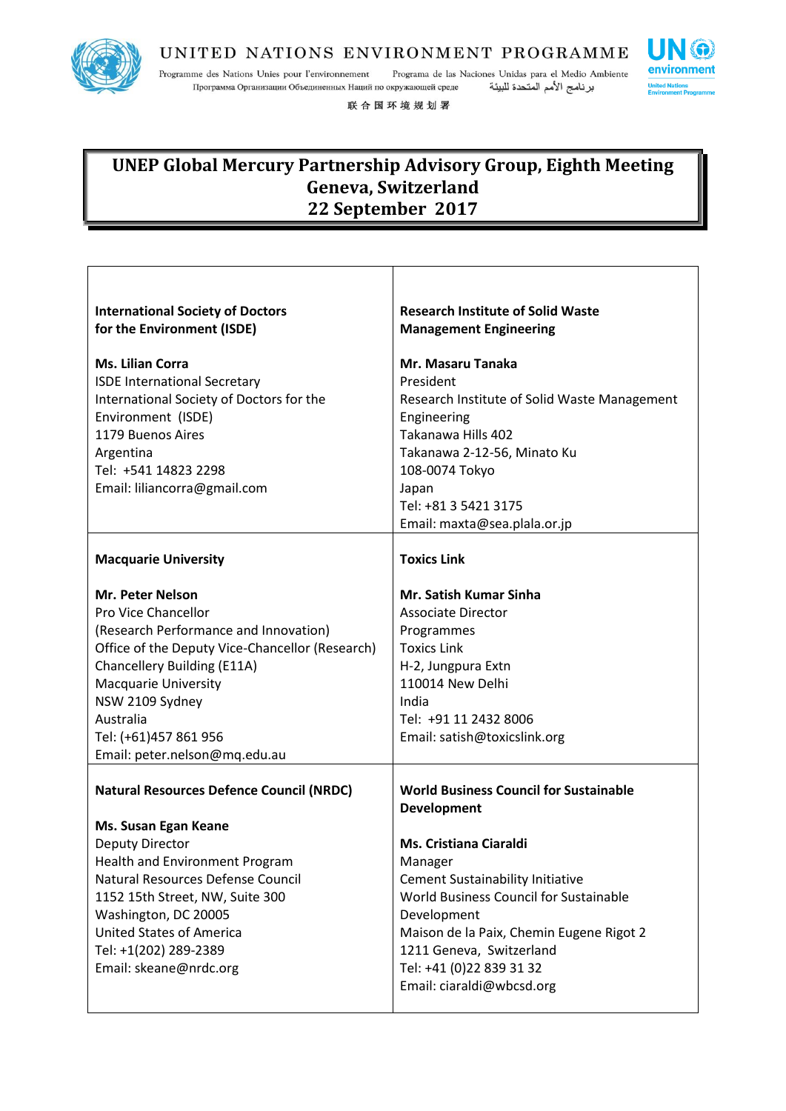

 $\overline{\phantom{a}}$ 

### UNITED NATIONS ENVIRONMENT PROGRAMME

Programme des Nations Unies pour l'environnement Programa de las Naciones Unidas para el Medio Ambiente برنامج الأمم المتحدة للبيئة Программа Организации Объединенных Наций по окружающей среде

**SO** 

٦

environment

**United Na** 

联合国环境规划署

| <b>International Society of Doctors</b><br>for the Environment (ISDE)                                                                                                                                                                                                                                                            | <b>Research Institute of Solid Waste</b><br><b>Management Engineering</b>                                                                                                                                                                                                                                                                     |
|----------------------------------------------------------------------------------------------------------------------------------------------------------------------------------------------------------------------------------------------------------------------------------------------------------------------------------|-----------------------------------------------------------------------------------------------------------------------------------------------------------------------------------------------------------------------------------------------------------------------------------------------------------------------------------------------|
| <b>Ms. Lilian Corra</b><br><b>ISDE International Secretary</b><br>International Society of Doctors for the<br>Environment (ISDE)<br>1179 Buenos Aires<br>Argentina<br>Tel: +541 14823 2298<br>Email: liliancorra@gmail.com                                                                                                       | Mr. Masaru Tanaka<br>President<br>Research Institute of Solid Waste Management<br>Engineering<br>Takanawa Hills 402<br>Takanawa 2-12-56, Minato Ku<br>108-0074 Tokyo<br>Japan<br>Tel: +81 3 5421 3175<br>Email: maxta@sea.plala.or.jp                                                                                                         |
| <b>Macquarie University</b>                                                                                                                                                                                                                                                                                                      | <b>Toxics Link</b>                                                                                                                                                                                                                                                                                                                            |
| Mr. Peter Nelson<br>Pro Vice Chancellor<br>(Research Performance and Innovation)<br>Office of the Deputy Vice-Chancellor (Research)<br>Chancellery Building (E11A)<br><b>Macquarie University</b><br>NSW 2109 Sydney<br>Australia<br>Tel: (+61)457 861 956<br>Email: peter.nelson@mq.edu.au                                      | Mr. Satish Kumar Sinha<br><b>Associate Director</b><br>Programmes<br><b>Toxics Link</b><br>H-2, Jungpura Extn<br>110014 New Delhi<br>India<br>Tel: +91 11 2432 8006<br>Email: satish@toxicslink.org                                                                                                                                           |
| <b>Natural Resources Defence Council (NRDC)</b><br>Ms. Susan Egan Keane<br><b>Deputy Director</b><br><b>Health and Environment Program</b><br>Natural Resources Defense Council<br>1152 15th Street, NW, Suite 300<br>Washington, DC 20005<br><b>United States of America</b><br>Tel: +1(202) 289-2389<br>Email: skeane@nrdc.org | <b>World Business Council for Sustainable</b><br>Development<br><b>Ms. Cristiana Ciaraldi</b><br>Manager<br><b>Cement Sustainability Initiative</b><br>World Business Council for Sustainable<br>Development<br>Maison de la Paix, Chemin Eugene Rigot 2<br>1211 Geneva, Switzerland<br>Tel: +41 (0)22 839 31 32<br>Email: ciaraldi@wbcsd.org |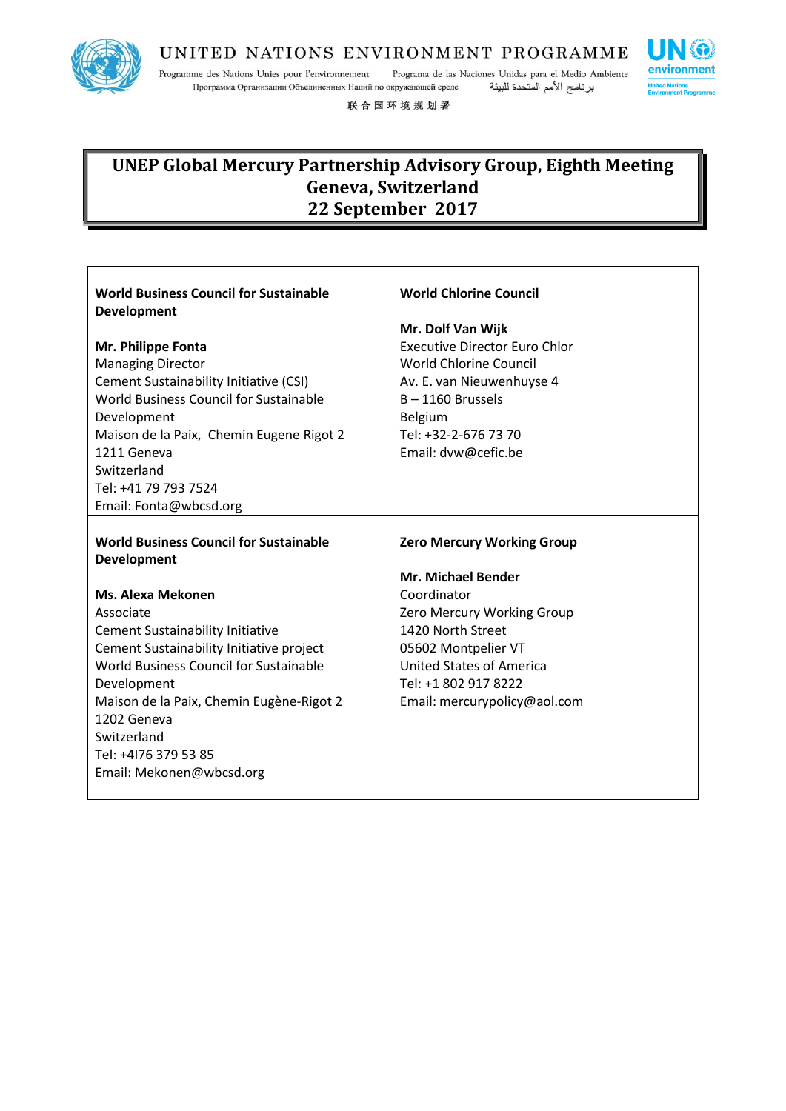

Programme des Nations Unies pour l'environnement Programa de las Naciones Unidas para el Medio Ambiente Программа Организации Объединенных Наций по окружающей среде برنامج الأمم المتحدة للبيئة

联合国环境规划署

| <b>World Business Council for Sustainable</b><br><b>Development</b><br>Mr. Philippe Fonta<br><b>Managing Director</b><br><b>Cement Sustainability Initiative (CSI)</b><br><b>World Business Council for Sustainable</b><br>Development<br>Maison de la Paix, Chemin Eugene Rigot 2<br>1211 Geneva<br>Switzerland<br>Tel: +41 79 793 7524<br>Email: Fonta@wbcsd.org                  | <b>World Chlorine Council</b><br>Mr. Dolf Van Wijk<br><b>Executive Director Euro Chlor</b><br><b>World Chlorine Council</b><br>Av. E. van Nieuwenhuyse 4<br>$B - 1160$ Brussels<br>Belgium<br>Tel: +32-2-676 73 70<br>Email: dvw@cefic.be                 |
|-------------------------------------------------------------------------------------------------------------------------------------------------------------------------------------------------------------------------------------------------------------------------------------------------------------------------------------------------------------------------------------|-----------------------------------------------------------------------------------------------------------------------------------------------------------------------------------------------------------------------------------------------------------|
| <b>World Business Council for Sustainable</b><br><b>Development</b><br>Ms. Alexa Mekonen<br>Associate<br><b>Cement Sustainability Initiative</b><br>Cement Sustainability Initiative project<br>World Business Council for Sustainable<br>Development<br>Maison de la Paix, Chemin Eugène-Rigot 2<br>1202 Geneva<br>Switzerland<br>Tel: +4176 379 53 85<br>Email: Mekonen@wbcsd.org | <b>Zero Mercury Working Group</b><br><b>Mr. Michael Bender</b><br>Coordinator<br><b>Zero Mercury Working Group</b><br>1420 North Street<br>05602 Montpelier VT<br><b>United States of America</b><br>Tel: +1 802 917 8222<br>Email: mercurypolicy@aol.com |

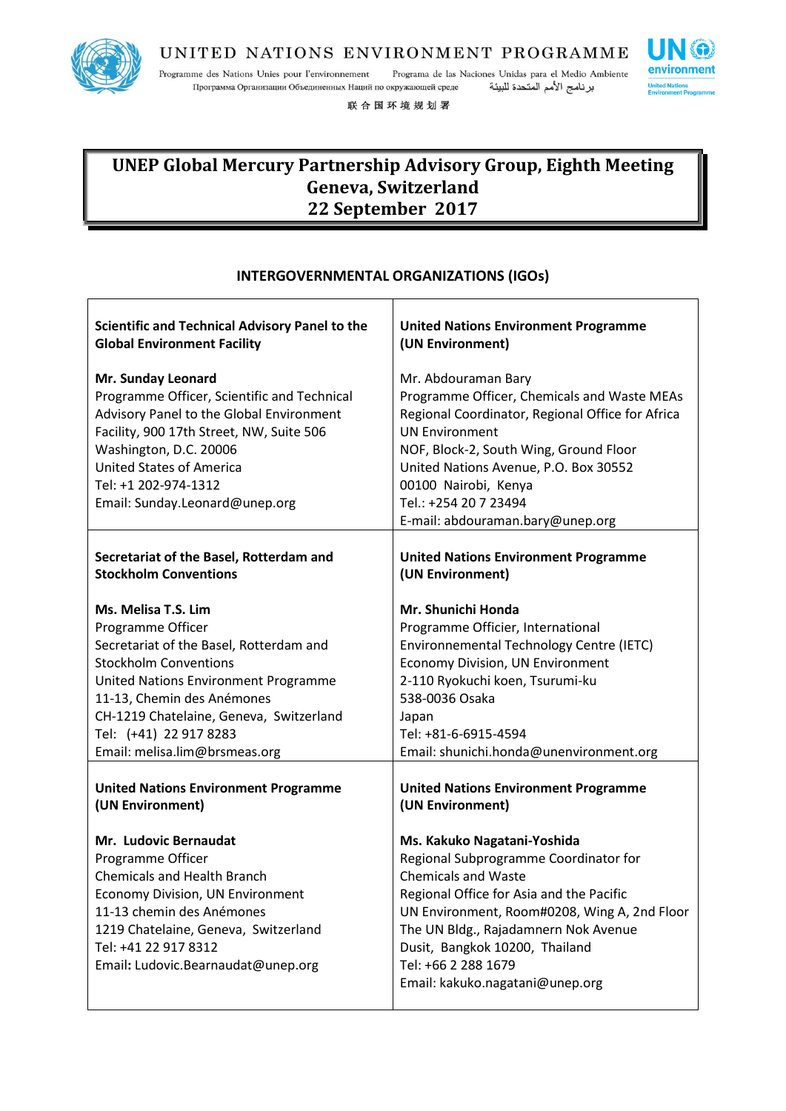

Programme des Nations Unies pour l'environnement Programa de las Naciones Unidas para el Medio Ambiente برنامج الأمم المتحدة للبيئة Программа Организации Объединенных Наций по окружающей среде

联合国环境规划署



# **UNEP Global Mercury Partnership Advisory Group, Eighth Meeting Geneva, Switzerland 22 September 2017**

### **INTERGOVERNMENTAL ORGANIZATIONS (IGOs)** T

| <b>Scientific and Technical Advisory Panel to the</b>                                                                                                                                                                                                                            | <b>United Nations Environment Programme</b>                                                                                                                                                                                                                                                                                        |
|----------------------------------------------------------------------------------------------------------------------------------------------------------------------------------------------------------------------------------------------------------------------------------|------------------------------------------------------------------------------------------------------------------------------------------------------------------------------------------------------------------------------------------------------------------------------------------------------------------------------------|
| <b>Global Environment Facility</b>                                                                                                                                                                                                                                               | (UN Environment)                                                                                                                                                                                                                                                                                                                   |
| Mr. Sunday Leonard<br>Programme Officer, Scientific and Technical<br>Advisory Panel to the Global Environment<br>Facility, 900 17th Street, NW, Suite 506<br>Washington, D.C. 20006<br><b>United States of America</b><br>Tel: +1 202-974-1312<br>Email: Sunday.Leonard@unep.org | Mr. Abdouraman Bary<br>Programme Officer, Chemicals and Waste MEAs<br>Regional Coordinator, Regional Office for Africa<br><b>UN Environment</b><br>NOF, Block-2, South Wing, Ground Floor<br>United Nations Avenue, P.O. Box 30552<br>00100 Nairobi, Kenya<br>Tel.: +254 20 7 23494<br>E-mail: abdouraman.bary@unep.org            |
| Secretariat of the Basel, Rotterdam and                                                                                                                                                                                                                                          | <b>United Nations Environment Programme</b>                                                                                                                                                                                                                                                                                        |
| <b>Stockholm Conventions</b>                                                                                                                                                                                                                                                     | (UN Environment)                                                                                                                                                                                                                                                                                                                   |
| Ms. Melisa T.S. Lim                                                                                                                                                                                                                                                              | Mr. Shunichi Honda                                                                                                                                                                                                                                                                                                                 |
| Programme Officer                                                                                                                                                                                                                                                                | Programme Officier, International                                                                                                                                                                                                                                                                                                  |
| Secretariat of the Basel, Rotterdam and                                                                                                                                                                                                                                          | Environnemental Technology Centre (IETC)                                                                                                                                                                                                                                                                                           |
| <b>Stockholm Conventions</b>                                                                                                                                                                                                                                                     | Economy Division, UN Environment                                                                                                                                                                                                                                                                                                   |
| United Nations Environment Programme                                                                                                                                                                                                                                             | 2-110 Ryokuchi koen, Tsurumi-ku                                                                                                                                                                                                                                                                                                    |
| 11-13, Chemin des Anémones                                                                                                                                                                                                                                                       | 538-0036 Osaka                                                                                                                                                                                                                                                                                                                     |
| CH-1219 Chatelaine, Geneva, Switzerland                                                                                                                                                                                                                                          | Japan                                                                                                                                                                                                                                                                                                                              |
| Tel: (+41) 22 917 8283                                                                                                                                                                                                                                                           | Tel: +81-6-6915-4594                                                                                                                                                                                                                                                                                                               |
| Email: melisa.lim@brsmeas.org                                                                                                                                                                                                                                                    | Email: shunichi.honda@unenvironment.org                                                                                                                                                                                                                                                                                            |
| <b>United Nations Environment Programme</b>                                                                                                                                                                                                                                      | <b>United Nations Environment Programme</b>                                                                                                                                                                                                                                                                                        |
| (UN Environment)                                                                                                                                                                                                                                                                 | (UN Environment)                                                                                                                                                                                                                                                                                                                   |
| Mr. Ludovic Bernaudat<br>Programme Officer<br><b>Chemicals and Health Branch</b><br><b>Economy Division, UN Environment</b><br>11-13 chemin des Anémones<br>1219 Chatelaine, Geneva, Switzerland<br>Tel: +41 22 917 8312<br>Email: Ludovic.Bearnaudat@unep.org                   | Ms. Kakuko Nagatani-Yoshida<br>Regional Subprogramme Coordinator for<br><b>Chemicals and Waste</b><br>Regional Office for Asia and the Pacific<br>UN Environment, Room#0208, Wing A, 2nd Floor<br>The UN Bldg., Rajadamnern Nok Avenue<br>Dusit, Bangkok 10200, Thailand<br>Tel: +66 2 288 1679<br>Email: kakuko.nagatani@unep.org |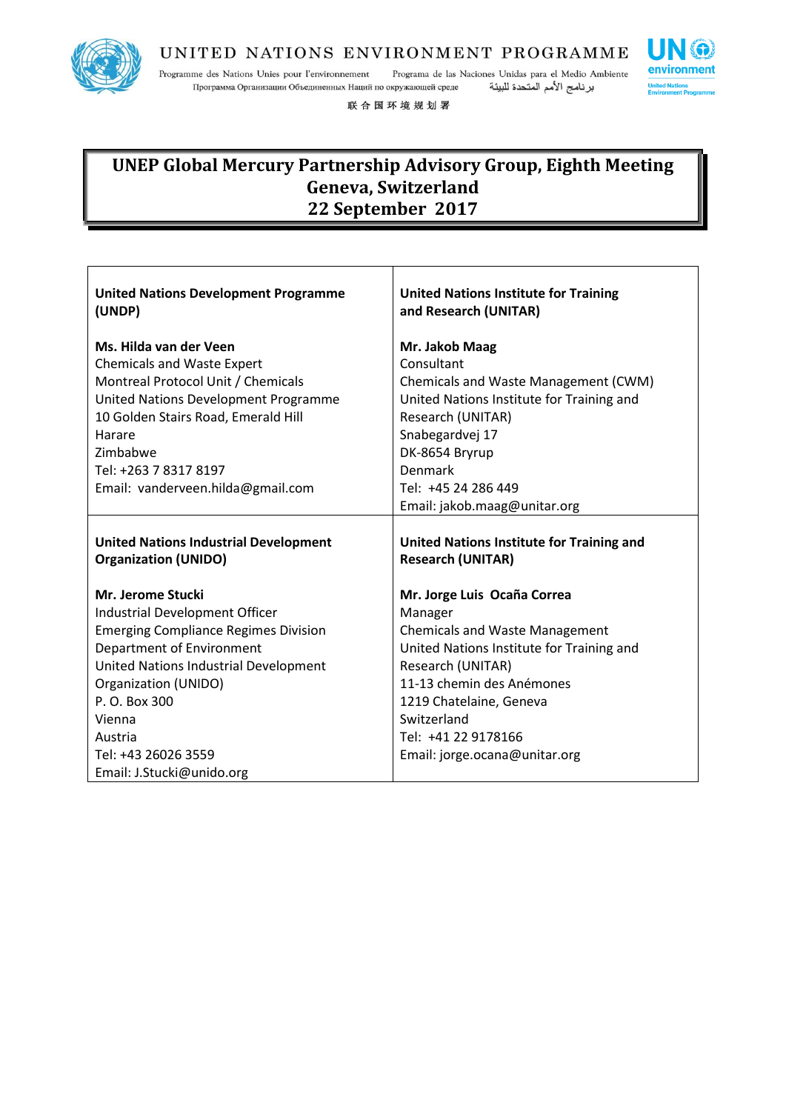

 $\overline{\phantom{a}}$ 

### UNITED NATIONS ENVIRONMENT PROGRAMME

Programme des Nations Unies pour l'environnement Programa de las Naciones Unidas para el Medio Ambiente Программа Организации Объединенных Наций по окружающей среде برنامج الأمم المتحدة للبيئة

联合国环境规划署

| <b>United Nations Development Programme</b><br>(UNDP) | <b>United Nations Institute for Training</b><br>and Research (UNITAR) |
|-------------------------------------------------------|-----------------------------------------------------------------------|
| Ms. Hilda van der Veen                                | Mr. Jakob Maag                                                        |
| <b>Chemicals and Waste Expert</b>                     | Consultant                                                            |
| Montreal Protocol Unit / Chemicals                    | Chemicals and Waste Management (CWM)                                  |
| United Nations Development Programme                  | United Nations Institute for Training and                             |
| 10 Golden Stairs Road, Emerald Hill                   | Research (UNITAR)                                                     |
| Harare                                                | Snabegardvej 17                                                       |
| Zimbabwe                                              | DK-8654 Bryrup                                                        |
| Tel: +263 7 8317 8197                                 | Denmark                                                               |
| Email: vanderveen.hilda@gmail.com                     | Tel: +45 24 286 449                                                   |
|                                                       | Email: jakob.maag@unitar.org                                          |
|                                                       |                                                                       |
|                                                       |                                                                       |
| <b>United Nations Industrial Development</b>          | United Nations Institute for Training and                             |
| <b>Organization (UNIDO)</b>                           | <b>Research (UNITAR)</b>                                              |
| Mr. Jerome Stucki                                     | Mr. Jorge Luis Ocaña Correa                                           |
| Industrial Development Officer                        | Manager                                                               |
| <b>Emerging Compliance Regimes Division</b>           | <b>Chemicals and Waste Management</b>                                 |
| Department of Environment                             | United Nations Institute for Training and                             |
| United Nations Industrial Development                 | Research (UNITAR)                                                     |
| Organization (UNIDO)                                  | 11-13 chemin des Anémones                                             |
| P. O. Box 300                                         | 1219 Chatelaine, Geneva                                               |
| Vienna                                                | Switzerland                                                           |
| Austria                                               | Tel: +41 22 9178166                                                   |
| Tel: +43 26026 3559                                   | Email: jorge.ocana@unitar.org                                         |

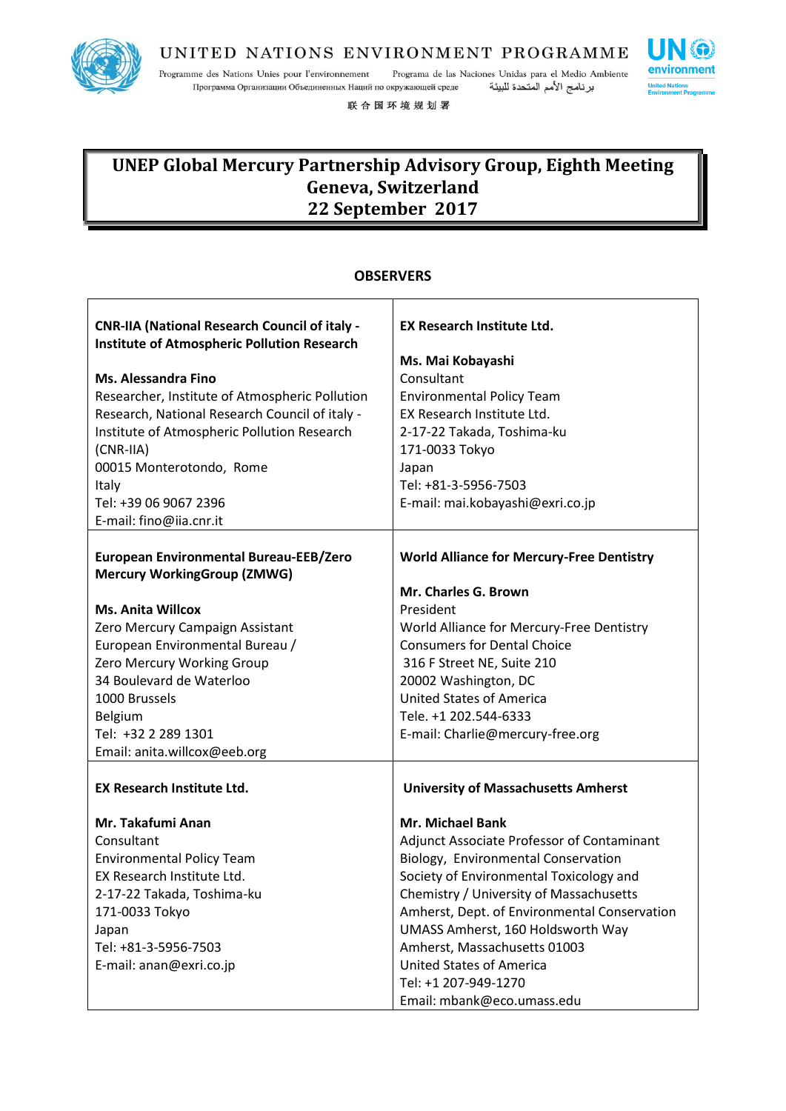

Programme des Nations Unies pour l'environnement Programa de las Naciones Unidas para el Medio Ambiente برنامج الأمم المتحدة للبيئة Программа Организации Объединенных Наций по окружающей среде

联合国环境规划署

# **UNEP Global Mercury Partnership Advisory Group, Eighth Meeting Geneva, Switzerland 22 September 2017**

|                                                                                                            | UBSERVERS                                        |
|------------------------------------------------------------------------------------------------------------|--------------------------------------------------|
| <b>CNR-IIA (National Research Council of italy -</b><br><b>Institute of Atmospheric Pollution Research</b> | <b>EX Research Institute Ltd.</b>                |
|                                                                                                            | Ms. Mai Kobayashi                                |
| <b>Ms. Alessandra Fino</b>                                                                                 | Consultant                                       |
| Researcher, Institute of Atmospheric Pollution                                                             | <b>Environmental Policy Team</b>                 |
| Research, National Research Council of italy -                                                             | EX Research Institute Ltd.                       |
| Institute of Atmospheric Pollution Research                                                                | 2-17-22 Takada, Toshima-ku                       |
| $(CNR-IIA)$                                                                                                | 171-0033 Tokyo                                   |
| 00015 Monterotondo, Rome                                                                                   | Japan                                            |
| Italy                                                                                                      | Tel: +81-3-5956-7503                             |
| Tel: +39 06 9067 2396                                                                                      | E-mail: mai.kobayashi@exri.co.jp                 |
| E-mail: fino@iia.cnr.it                                                                                    |                                                  |
|                                                                                                            |                                                  |
| <b>European Environmental Bureau-EEB/Zero</b>                                                              | <b>World Alliance for Mercury-Free Dentistry</b> |
| <b>Mercury WorkingGroup (ZMWG)</b>                                                                         | Mr. Charles G. Brown                             |
| <b>Ms. Anita Willcox</b>                                                                                   | President                                        |
| Zero Mercury Campaign Assistant                                                                            | World Alliance for Mercury-Free Dentistry        |
| European Environmental Bureau /                                                                            | <b>Consumers for Dental Choice</b>               |
| Zero Mercury Working Group                                                                                 | 316 F Street NE, Suite 210                       |
| 34 Boulevard de Waterloo                                                                                   | 20002 Washington, DC                             |
| 1000 Brussels                                                                                              | <b>United States of America</b>                  |
| <b>Belgium</b>                                                                                             | Tele. +1 202.544-6333                            |
| Tel: +32 2 289 1301                                                                                        | E-mail: Charlie@mercury-free.org                 |
| Email: anita.willcox@eeb.org                                                                               |                                                  |
|                                                                                                            |                                                  |
| <b>EX Research Institute Ltd.</b>                                                                          | <b>University of Massachusetts Amherst</b>       |
| Mr. Takafumi Anan                                                                                          | <b>Mr. Michael Bank</b>                          |
| Consultant                                                                                                 | Adjunct Associate Professor of Contaminant       |
| <b>Environmental Policy Team</b>                                                                           | Biology, Environmental Conservation              |
| EX Research Institute Ltd.                                                                                 | Society of Environmental Toxicology and          |
| 2-17-22 Takada, Toshima-ku                                                                                 | Chemistry / University of Massachusetts          |
| 171-0033 Tokyo                                                                                             | Amherst, Dept. of Environmental Conservation     |
| Japan                                                                                                      | UMASS Amherst, 160 Holdsworth Way                |
| Tel: +81-3-5956-7503                                                                                       | Amherst, Massachusetts 01003                     |
| E-mail: anan@exri.co.jp                                                                                    | <b>United States of America</b>                  |
|                                                                                                            | Tel: +1 207-949-1270                             |
|                                                                                                            | Email: mbank@eco.umass.edu                       |

### **OBSERVERS**